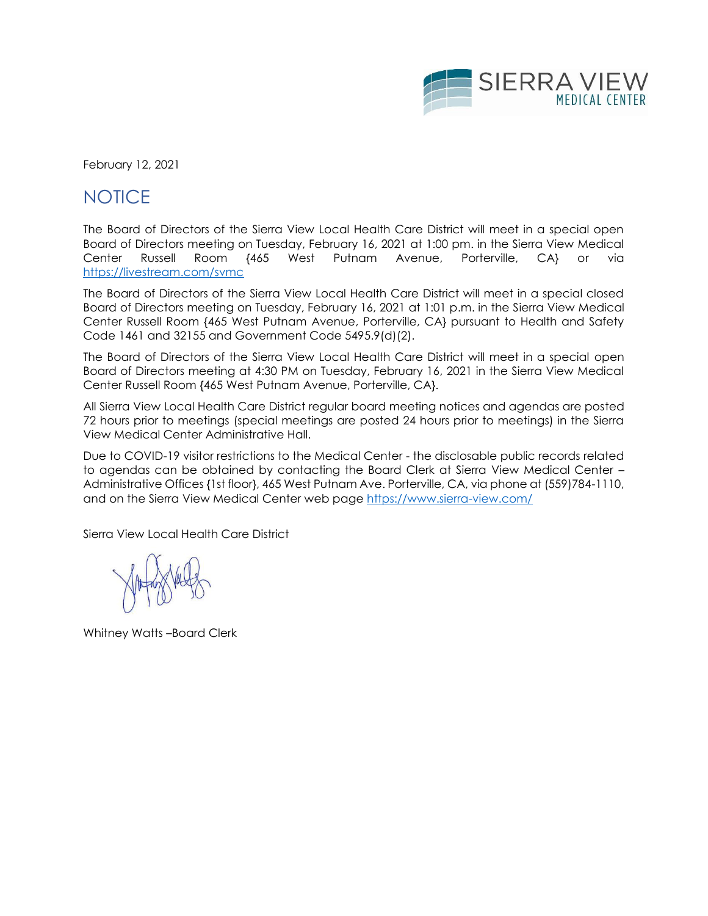

February 12, 2021

# **NOTICE**

The Board of Directors of the Sierra View Local Health Care District will meet in a special open Board of Directors meeting on Tuesday, February 16, 2021 at 1:00 pm. in the Sierra View Medical Center Russell Room {465 West Putnam Avenue, Porterville, CA} or via <https://livestream.com/svmc>

The Board of Directors of the Sierra View Local Health Care District will meet in a special closed Board of Directors meeting on Tuesday, February 16, 2021 at 1:01 p.m. in the Sierra View Medical Center Russell Room {465 West Putnam Avenue, Porterville, CA} pursuant to Health and Safety Code 1461 and 32155 and Government Code 5495.9(d)(2).

The Board of Directors of the Sierra View Local Health Care District will meet in a special open Board of Directors meeting at 4:30 PM on Tuesday, February 16, 2021 in the Sierra View Medical Center Russell Room {465 West Putnam Avenue, Porterville, CA}.

All Sierra View Local Health Care District regular board meeting notices and agendas are posted 72 hours prior to meetings (special meetings are posted 24 hours prior to meetings) in the Sierra View Medical Center Administrative Hall.

Due to COVID-19 visitor restrictions to the Medical Center - the disclosable public records related to agendas can be obtained by contacting the Board Clerk at Sierra View Medical Center – Administrative Offices {1st floor}, 465 West Putnam Ave. Porterville, CA, via phone at (559)784-1110, and on the Sierra View Medical Center web page<https://www.sierra-view.com/>

Sierra View Local Health Care District

Whitney Watts –Board Clerk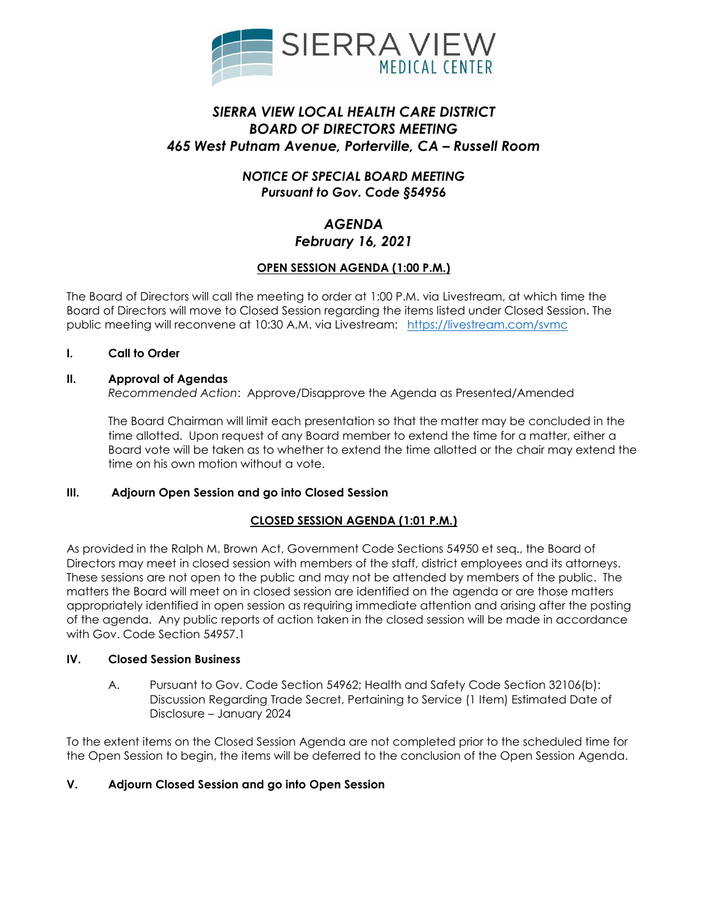

# *SIERRA VIEW LOCAL HEALTH CARE DISTRICT BOARD OF DIRECTORS MEETING 465 West Putnam Avenue, Porterville, CA – Russell Room*

# *NOTICE OF SPECIAL BOARD MEETING Pursuant to Gov. Code §54956*

# *AGENDA February 16, 2021*

# **OPEN SESSION AGENDA (1:00 P.M.)**

The Board of Directors will call the meeting to order at 1:00 P.M. via Livestream, at which time the Board of Directors will move to Closed Session regarding the items listed under Closed Session. The public meeting will reconvene at 10:30 A.M. via Livestream: <https://livestream.com/svmc>

# **I. Call to Order**

### **II. Approval of Agendas**

*Recommended Action*: Approve/Disapprove the Agenda as Presented/Amended

The Board Chairman will limit each presentation so that the matter may be concluded in the time allotted. Upon request of any Board member to extend the time for a matter, either a Board vote will be taken as to whether to extend the time allotted or the chair may extend the time on his own motion without a vote.

# **III. Adjourn Open Session and go into Closed Session**

# **CLOSED SESSION AGENDA (1:01 P.M.)**

As provided in the Ralph M. Brown Act, Government Code Sections 54950 et seq., the Board of Directors may meet in closed session with members of the staff, district employees and its attorneys. These sessions are not open to the public and may not be attended by members of the public. The matters the Board will meet on in closed session are identified on the agenda or are those matters appropriately identified in open session as requiring immediate attention and arising after the posting of the agenda. Any public reports of action taken in the closed session will be made in accordance with Gov. Code Section 54957.1

# **IV. Closed Session Business**

A. Pursuant to Gov. Code Section 54962; Health and Safety Code Section 32106(b): Discussion Regarding Trade Secret, Pertaining to Service (1 Item) Estimated Date of Disclosure – January 2024

To the extent items on the Closed Session Agenda are not completed prior to the scheduled time for the Open Session to begin, the items will be deferred to the conclusion of the Open Session Agenda.

# **V. Adjourn Closed Session and go into Open Session**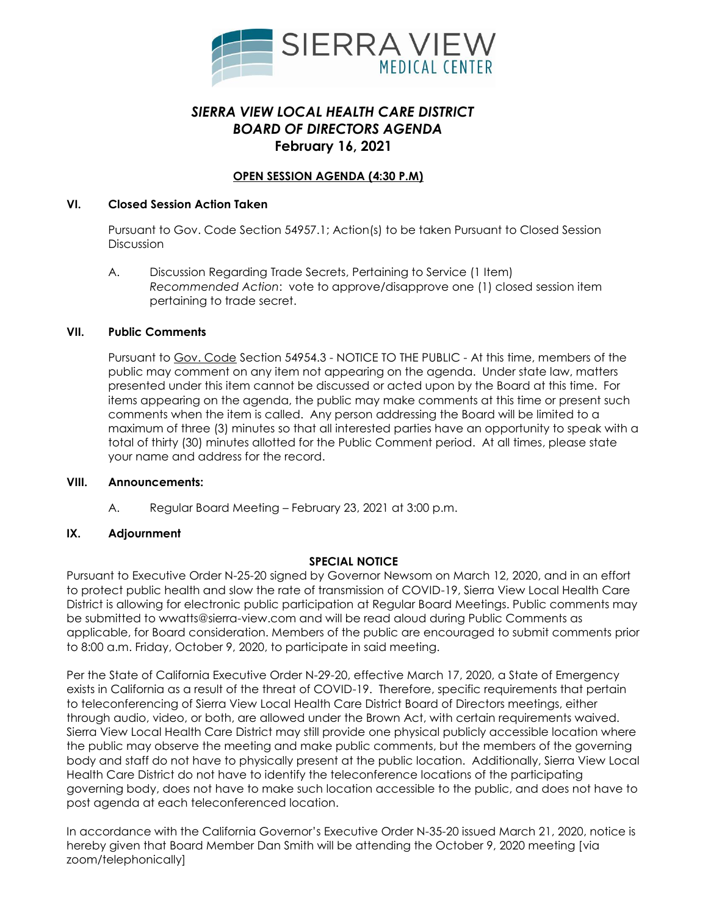

# *SIERRA VIEW LOCAL HEALTH CARE DISTRICT BOARD OF DIRECTORS AGENDA* **February 16, 2021**

### **OPEN SESSION AGENDA (4:30 P.M)**

### **VI. Closed Session Action Taken**

Pursuant to Gov. Code Section 54957.1; Action(s) to be taken Pursuant to Closed Session Discussion

A. Discussion Regarding Trade Secrets, Pertaining to Service (1 Item) *Recommended Action*: vote to approve/disapprove one (1) closed session item pertaining to trade secret.

### **VII. Public Comments**

Pursuant to Gov. Code Section 54954.3 - NOTICE TO THE PUBLIC - At this time, members of the public may comment on any item not appearing on the agenda. Under state law, matters presented under this item cannot be discussed or acted upon by the Board at this time. For items appearing on the agenda, the public may make comments at this time or present such comments when the item is called. Any person addressing the Board will be limited to a maximum of three (3) minutes so that all interested parties have an opportunity to speak with a total of thirty (30) minutes allotted for the Public Comment period. At all times, please state your name and address for the record.

#### **VIII. Announcements:**

A. Regular Board Meeting – February 23, 2021 at 3:00 p.m.

### **IX. Adjournment**

### **SPECIAL NOTICE**

Pursuant to Executive Order N-25-20 signed by Governor Newsom on March 12, 2020, and in an effort to protect public health and slow the rate of transmission of COVID-19, Sierra View Local Health Care District is allowing for electronic public participation at Regular Board Meetings. Public comments may be submitted to wwatts@sierra-view.com and will be read aloud during Public Comments as applicable, for Board consideration. Members of the public are encouraged to submit comments prior to 8:00 a.m. Friday, October 9, 2020, to participate in said meeting.

Per the State of California Executive Order N-29-20, effective March 17, 2020, a State of Emergency exists in California as a result of the threat of COVID-19. Therefore, specific requirements that pertain to teleconferencing of Sierra View Local Health Care District Board of Directors meetings, either through audio, video, or both, are allowed under the Brown Act, with certain requirements waived. Sierra View Local Health Care District may still provide one physical publicly accessible location where the public may observe the meeting and make public comments, but the members of the governing body and staff do not have to physically present at the public location. Additionally, Sierra View Local Health Care District do not have to identify the teleconference locations of the participating governing body, does not have to make such location accessible to the public, and does not have to post agenda at each teleconferenced location.

In accordance with the California Governor's Executive Order N-35-20 issued March 21, 2020, notice is hereby given that Board Member Dan Smith will be attending the October 9, 2020 meeting [via zoom/telephonically]